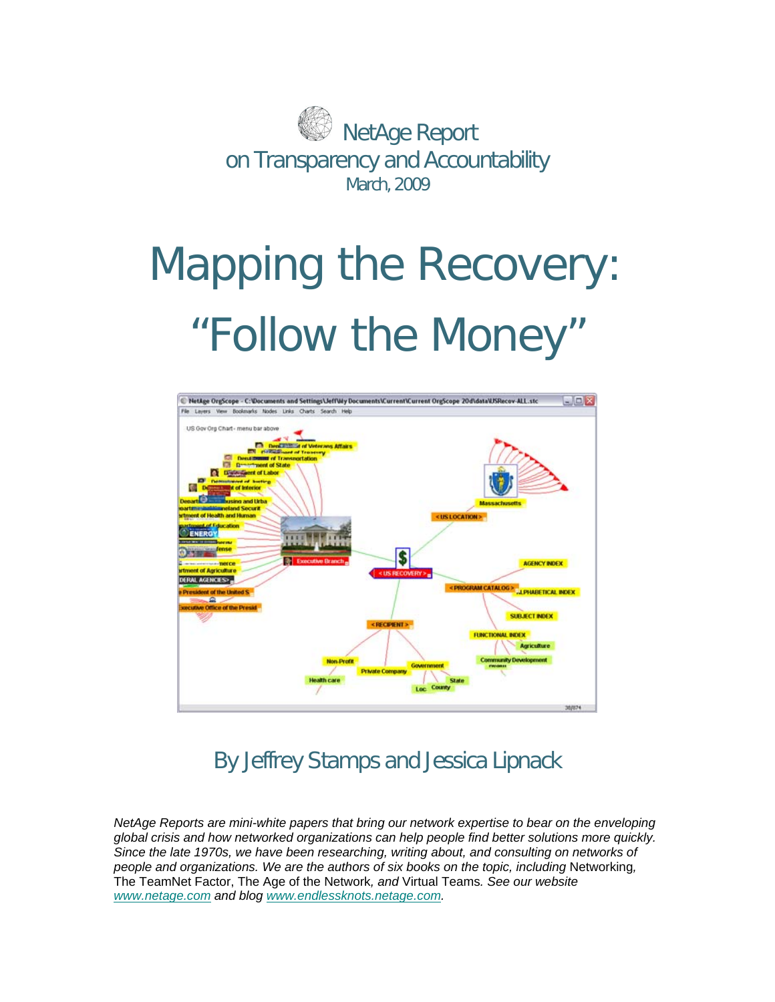

# Mapping the Recovery: "Follow the Money"



# By Jeffrey Stamps and Jessica Lipnack

*NetAge Reports are mini-white papers that bring our network expertise to bear on the enveloping global crisis and how networked organizations can help people find better solutions more quickly. Since the late 1970s, we have been researching, writing about, and consulting on networks of people and organizations. We are the authors of six books on the topic, including Networking,* The TeamNet Factor, The Age of the Network*, and* Virtual Teams*. See our website <www.netage.com>and blog [www.endlessknots.netage.com.](http://www.endlessknots.netage.com/)*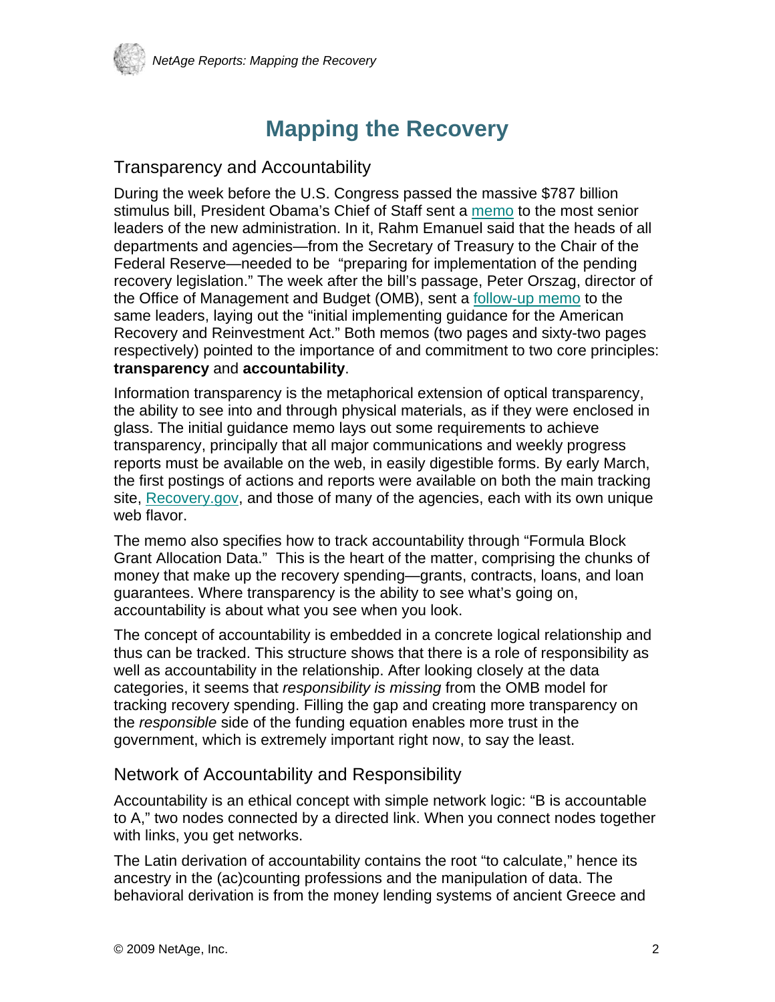

# **Mapping the Recovery**

#### Transparency and Accountability

During the week before the U.S. Congress passed the massive \$787 billion stimulus bill, President Obama's Chief of Staff sent a [memo](http://www.recovery.gov/files/recoverylegislationmemo.pdf) to the most senior leaders of the new administration. In it, Rahm Emanuel said that the heads of all departments and agencies—from the Secretary of Treasury to the Chair of the Federal Reserve—needed to be "preparing for implementation of the pending recovery legislation." The week after the bill's passage, Peter Orszag, director of the Office of Management and Budget (OMB), sent a [follow-up memo](http://www.recovery.gov/files/Initial%20Recovery%20Act%20Implementing%20Guidance.pdf) to the same leaders, laying out the "initial implementing guidance for the American Recovery and Reinvestment Act." Both memos (two pages and sixty-two pages respectively) pointed to the importance of and commitment to two core principles: **transparency** and **accountability**.

Information transparency is the metaphorical extension of optical transparency, the ability to see into and through physical materials, as if they were enclosed in glass. The initial guidance memo lays out some requirements to achieve transparency, principally that all major communications and weekly progress reports must be available on the web, in easily digestible forms. By early March, the first postings of actions and reports were available on both the main tracking site, [Recovery.gov,](http://www.recovery.gov/) and those of many of the agencies, each with its own unique web flavor.

The memo also specifies how to track accountability through "Formula Block Grant Allocation Data." This is the heart of the matter, comprising the chunks of money that make up the recovery spending—grants, contracts, loans, and loan guarantees. Where transparency is the ability to see what's going on, accountability is about what you see when you look.

The concept of accountability is embedded in a concrete logical relationship and thus can be tracked. This structure shows that there is a role of responsibility as well as accountability in the relationship. After looking closely at the data categories, it seems that *responsibility is missing* from the OMB model for tracking recovery spending. Filling the gap and creating more transparency on the *responsible* side of the funding equation enables more trust in the government, which is extremely important right now, to say the least.

#### Network of Accountability and Responsibility

Accountability is an ethical concept with simple network logic: "B is accountable to A," two nodes connected by a directed link. When you connect nodes together with links, you get networks.

The Latin derivation of accountability contains the root "to calculate," hence its ancestry in the (ac)counting professions and the manipulation of data. The behavioral derivation is from the money lending systems of ancient Greece and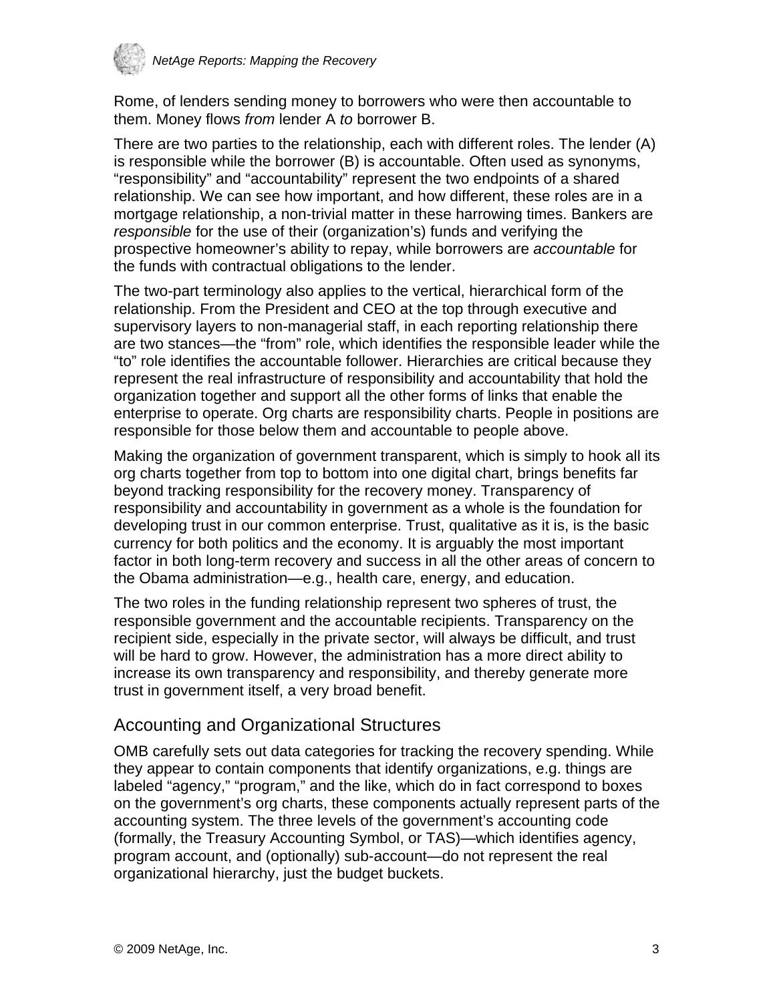

Rome, of lenders sending money to borrowers who were then accountable to them. Money flows *from* lender A *to* borrower B.

There are two parties to the relationship, each with different roles. The lender (A) is responsible while the borrower (B) is accountable. Often used as synonyms, "responsibility" and "accountability" represent the two endpoints of a shared relationship. We can see how important, and how different, these roles are in a mortgage relationship, a non-trivial matter in these harrowing times. Bankers are *responsible* for the use of their (organization's) funds and verifying the prospective homeowner's ability to repay, while borrowers are *accountable* for the funds with contractual obligations to the lender.

The two-part terminology also applies to the vertical, hierarchical form of the relationship. From the President and CEO at the top through executive and supervisory layers to non-managerial staff, in each reporting relationship there are two stances—the "from" role, which identifies the responsible leader while the "to" role identifies the accountable follower. Hierarchies are critical because they represent the real infrastructure of responsibility and accountability that hold the organization together and support all the other forms of links that enable the enterprise to operate. Org charts are responsibility charts. People in positions are responsible for those below them and accountable to people above.

Making the organization of government transparent, which is simply to hook all its org charts together from top to bottom into one digital chart, brings benefits far beyond tracking responsibility for the recovery money. Transparency of responsibility and accountability in government as a whole is the foundation for developing trust in our common enterprise. Trust, qualitative as it is, is the basic currency for both politics and the economy. It is arguably the most important factor in both long-term recovery and success in all the other areas of concern to the Obama administration—e.g., health care, energy, and education.

The two roles in the funding relationship represent two spheres of trust, the responsible government and the accountable recipients. Transparency on the recipient side, especially in the private sector, will always be difficult, and trust will be hard to grow. However, the administration has a more direct ability to increase its own transparency and responsibility, and thereby generate more trust in government itself, a very broad benefit.

#### Accounting and Organizational Structures

OMB carefully sets out data categories for tracking the recovery spending. While they appear to contain components that identify organizations, e.g. things are labeled "agency," "program," and the like, which do in fact correspond to boxes on the government's org charts, these components actually represent parts of the accounting system. The three levels of the government's accounting code (formally, the Treasury Accounting Symbol, or TAS)—which identifies agency, program account, and (optionally) sub-account—do not represent the real organizational hierarchy, just the budget buckets.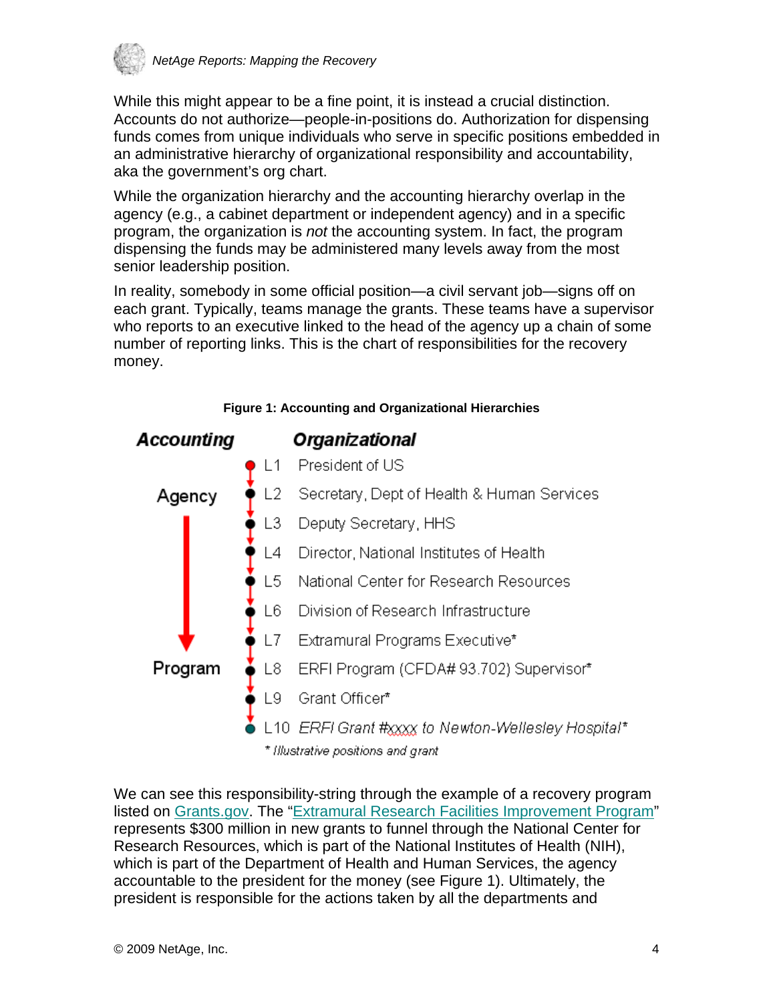

While this might appear to be a fine point, it is instead a crucial distinction. Accounts do not authorize—people-in-positions do. Authorization for dispensing funds comes from unique individuals who serve in specific positions embedded in an administrative hierarchy of organizational responsibility and accountability, aka the government's org chart.

While the organization hierarchy and the accounting hierarchy overlap in the agency (e.g., a cabinet department or independent agency) and in a specific program, the organization is *not* the accounting system. In fact, the program dispensing the funds may be administered many levels away from the most senior leadership position.

In reality, somebody in some official position—a civil servant job—signs off on each grant. Typically, teams manage the grants. These teams have a supervisor who reports to an executive linked to the head of the agency up a chain of some number of reporting links. This is the chart of responsibilities for the recovery money.



**Figure 1: Accounting and Organizational Hierarchies** 

We can see this responsibility-string through the example of a recovery program listed on [Grants.gov.](http://www.grants.gov/) The ["Extramural Research Facilities Improvement Program"](http://www07.grants.gov/search/search.do;jsessionid=gPdQJ5jP0DXpCLLcD82yGxbTGvnpbpnkvrL2Tf8TvPq3T9zS1JjS!1677821819?oppId=45775&flag2006=false&mode=VIEW) represents \$300 million in new grants to funnel through the National Center for Research Resources, which is part of the National Institutes of Health (NIH), which is part of the Department of Health and Human Services, the agency accountable to the president for the money (see Figure 1). Ultimately, the president is responsible for the actions taken by all the departments and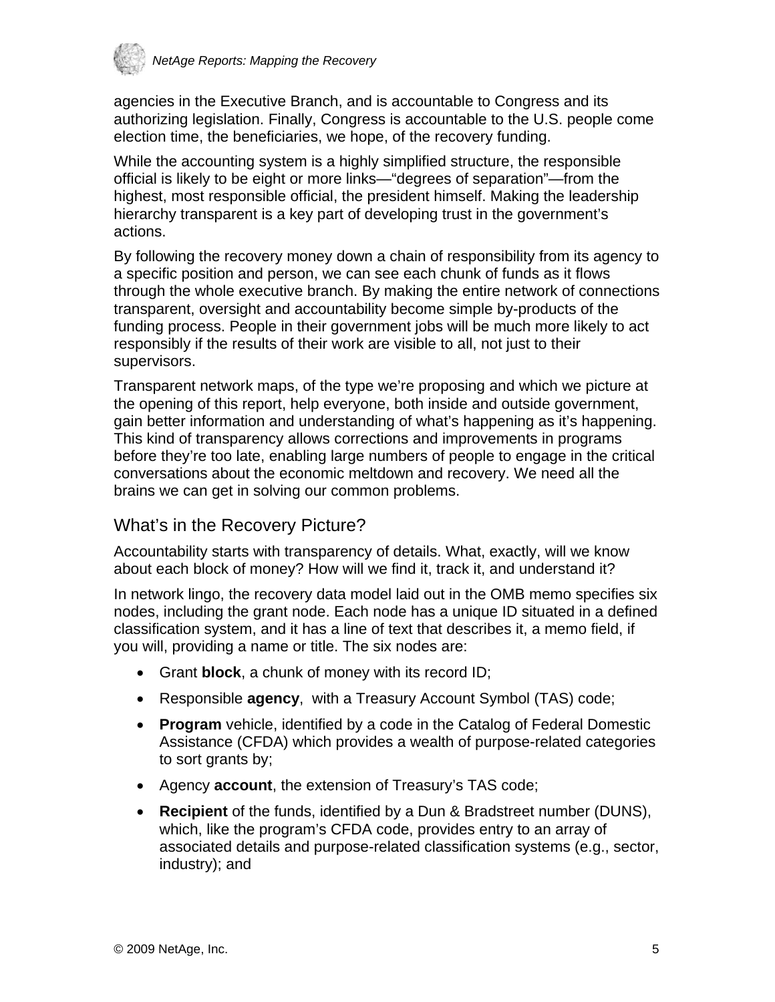

agencies in the Executive Branch, and is accountable to Congress and its authorizing legislation. Finally, Congress is accountable to the U.S. people come election time, the beneficiaries, we hope, of the recovery funding.

While the accounting system is a highly simplified structure, the responsible official is likely to be eight or more links—"degrees of separation"—from the highest, most responsible official, the president himself. Making the leadership hierarchy transparent is a key part of developing trust in the government's actions.

By following the recovery money down a chain of responsibility from its agency to a specific position and person, we can see each chunk of funds as it flows through the whole executive branch. By making the entire network of connections transparent, oversight and accountability become simple by-products of the funding process. People in their government jobs will be much more likely to act responsibly if the results of their work are visible to all, not just to their supervisors.

Transparent network maps, of the type we're proposing and which we picture at the opening of this report, help everyone, both inside and outside government, gain better information and understanding of what's happening as it's happening. This kind of transparency allows corrections and improvements in programs before they're too late, enabling large numbers of people to engage in the critical conversations about the economic meltdown and recovery. We need all the brains we can get in solving our common problems.

## What's in the Recovery Picture?

Accountability starts with transparency of details. What, exactly, will we know about each block of money? How will we find it, track it, and understand it?

In network lingo, the recovery data model laid out in the OMB memo specifies six nodes, including the grant node. Each node has a unique ID situated in a defined classification system, and it has a line of text that describes it, a memo field, if you will, providing a name or title. The six nodes are:

- Grant **block**, a chunk of money with its record ID;
- Responsible **agency**, with a Treasury Account Symbol (TAS) code;
- **Program** vehicle, identified by a code in the Catalog of Federal Domestic Assistance (CFDA) which provides a wealth of purpose-related categories to sort grants by;
- Agency **account**, the extension of Treasury's TAS code;
- **Recipient** of the funds, identified by a Dun & Bradstreet number (DUNS), which, like the program's CFDA code, provides entry to an array of associated details and purpose-related classification systems (e.g., sector, industry); and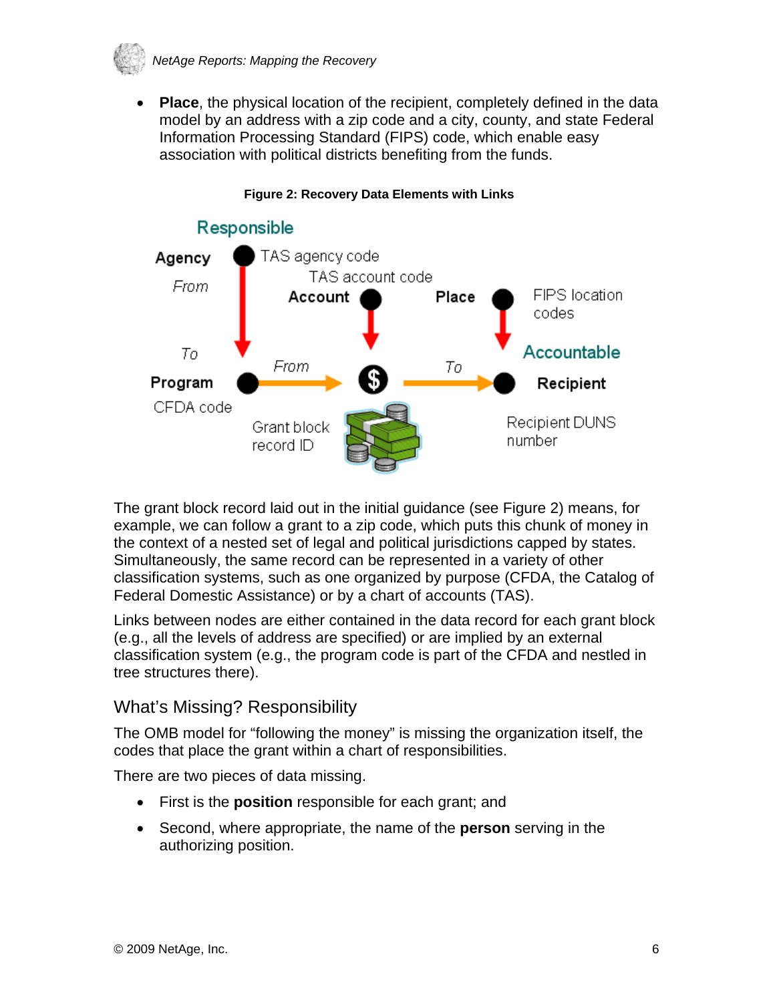

• **Place**, the physical location of the recipient, completely defined in the data model by an address with a zip code and a city, county, and state Federal Information Processing Standard (FIPS) code, which enable easy association with political districts benefiting from the funds.



#### **Figure 2: Recovery Data Elements with Links**

The grant block record laid out in the initial guidance (see Figure 2) means, for example, we can follow a grant to a zip code, which puts this chunk of money in the context of a nested set of legal and political jurisdictions capped by states. Simultaneously, the same record can be represented in a variety of other classification systems, such as one organized by purpose (CFDA, the Catalog of Federal Domestic Assistance) or by a chart of accounts (TAS).

Links between nodes are either contained in the data record for each grant block (e.g., all the levels of address are specified) or are implied by an external classification system (e.g., the program code is part of the CFDA and nestled in tree structures there).

## What's Missing? Responsibility

The OMB model for "following the money" is missing the organization itself, the codes that place the grant within a chart of responsibilities.

There are two pieces of data missing.

- First is the **position** responsible for each grant; and
- Second, where appropriate, the name of the **person** serving in the authorizing position.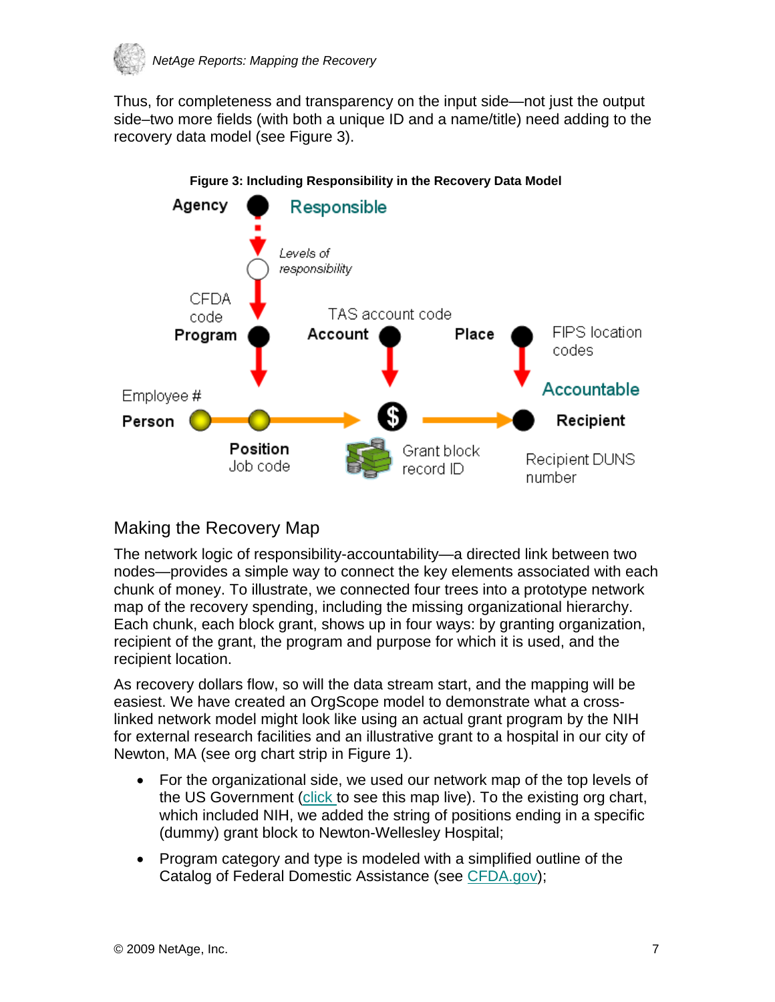

Thus, for completeness and transparency on the input side—not just the output side–two more fields (with both a unique ID and a name/title) need adding to the recovery data model (see Figure 3).



#### **Figure 3: Including Responsibility in the Recovery Data Model**

## Making the Recovery Map

The network logic of responsibility-accountability—a directed link between two nodes—provides a simple way to connect the key elements associated with each chunk of money. To illustrate, we connected four trees into a prototype network map of the recovery spending, including the missing organizational hierarchy. Each chunk, each block grant, shows up in four ways: by granting organization, recipient of the grant, the program and purpose for which it is used, and the recipient location.

As recovery dollars flow, so will the data stream start, and the mapping will be easiest. We have created an OrgScope model to demonstrate what a crosslinked network model might look like using an actual grant program by the NIH for external research facilities and an illustrative grant to a hospital in our city of Newton, MA (see org chart strip in Figure 1).

- For the organizational side, we used our network map of the top levels of the US Government [\(click](http://www.netage.com/economics/publish/USGov.html) to see this map live). To the existing org chart, which included NIH, we added the string of positions ending in a specific (dummy) grant block to Newton-Wellesley Hospital;
- Program category and type is modeled with a simplified outline of the Catalog of Federal Domestic Assistance (see [CFDA.gov\)](http://www.cfda.gov/);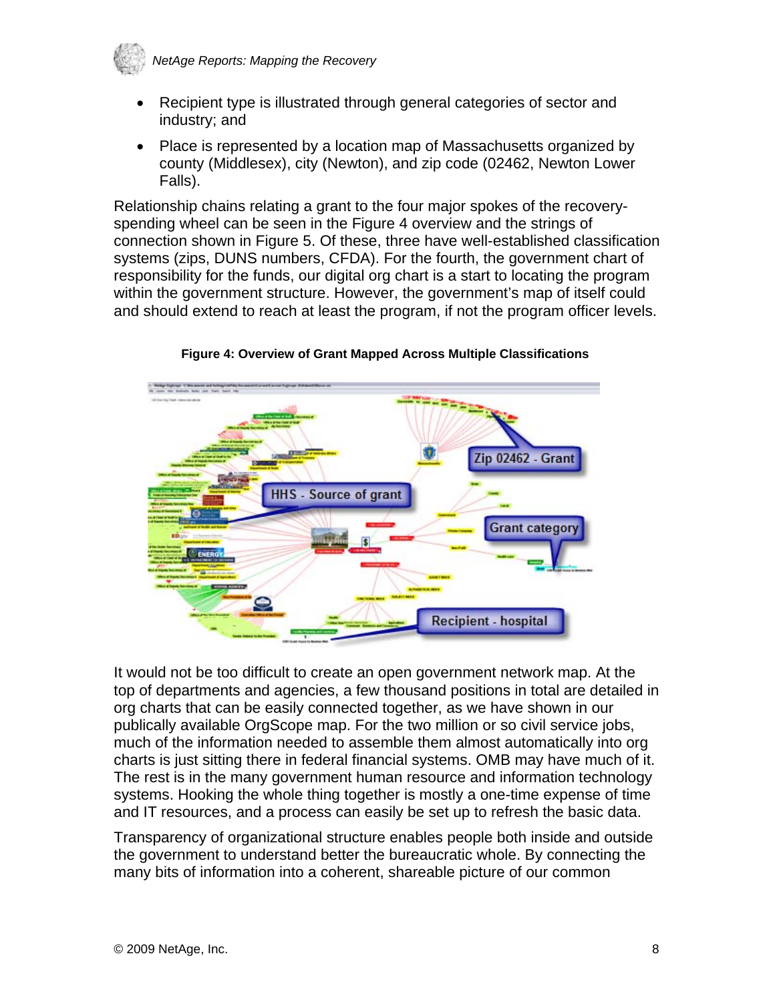

- Recipient type is illustrated through general categories of sector and industry; and
- Place is represented by a location map of Massachusetts organized by county (Middlesex), city (Newton), and zip code (02462, Newton Lower Falls).

Relationship chains relating a grant to the four major spokes of the recoveryspending wheel can be seen in the Figure 4 overview and the strings of connection shown in Figure 5. Of these, three have well-established classification systems (zips, DUNS numbers, CFDA). For the fourth, the government chart of responsibility for the funds, our digital org chart is a start to locating the program within the government structure. However, the government's map of itself could and should extend to reach at least the program, if not the program officer levels.



**Figure 4: Overview of Grant Mapped Across Multiple Classifications** 

It would not be too difficult to create an open government network map. At the top of departments and agencies, a few thousand positions in total are detailed in org charts that can be easily connected together, as we have shown in our publically available OrgScope map. For the two million or so civil service jobs, much of the information needed to assemble them almost automatically into org charts is just sitting there in federal financial systems. OMB may have much of it. The rest is in the many government human resource and information technology systems. Hooking the whole thing together is mostly a one-time expense of time and IT resources, and a process can easily be set up to refresh the basic data.

Transparency of organizational structure enables people both inside and outside the government to understand better the bureaucratic whole. By connecting the many bits of information into a coherent, shareable picture of our common